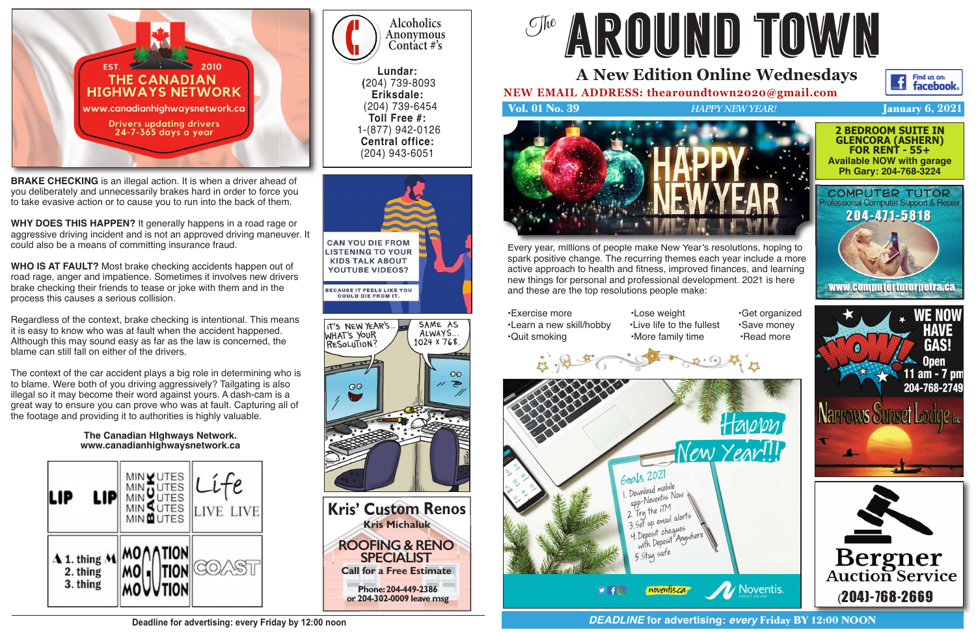



## **Alcoholics Anonymous Contact #'s**

**Lundar: (**204) 739-8093 **Eriksdale:** (204) 739-6454 **Toll Free #:**  1-(877) 942-0126 **Central office:**  (204) 943-6051

**BRAKE CHECKING** is an illegal action. It is when a driver ahead of you deliberately and unnecessarily brakes hard in order to force you to take evasive action or to cause you to run into the back of them.

**WHY DOES THIS HAPPEN?** It generally happens in a road rage or aggressive driving incident and is not an approved driving maneuver. It could also be a means of committing insurance fraud.

**WHO IS AT FAULT?** Most brake checking accidents happen out of road rage, anger and impatience. Sometimes it involves new drivers brake checking their friends to tease or joke with them and in the process this causes a serious collision.

Regardless of the context, brake checking is intentional. This means it is easy to know who was at fault when the accident happened. Although this may sound easy as far as the law is concerned, the blame can still fall on either of the drivers.

The context of the car accident plays a big role in determining who is to blame. Were both of you driving aggressively? Tailgating is also illegal so it may become their word against yours. A dash-cam is a great way to ensure you can prove who was at fault. Capturing all of the footage and providing it to authorities is highly valuable.

#### **The Canadian HIghways Network. www.canadianhighwaysnetwork.ca**





**pr 204-302-0009 leave msg or 204-302-0009 leave msg**